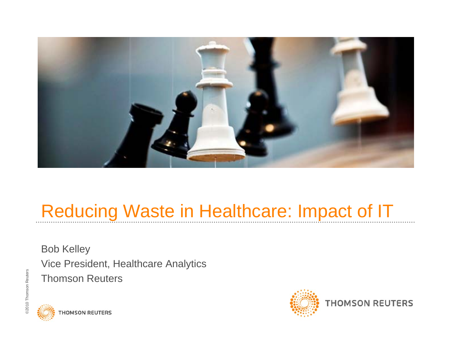

# Reducing Waste in Healthcare: Impact of IT

Bob Kelley Vice President, Healthcare Analytics Thomson Reuters





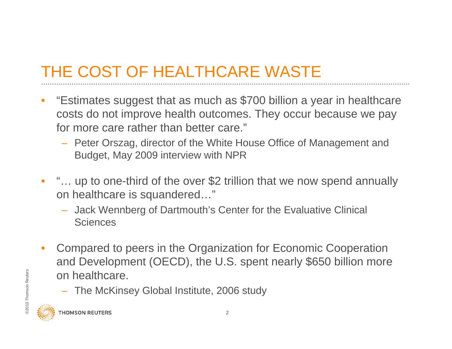#### THE COST OF HEALTHCARE WASTE

- • "Estimates suggest that as much as \$700 billion a year in healthcare costs do not improve health outcomes. They occur because we pay for more care rather than better care."
	- Peter Orszag, director of the White House Office of Management and Budget, May 2009 interview with NPR
- • "… up to one-third of the over \$2 trillion that we now spend annually on healthcare is squandered…"
	- Jack Wennberg of Dartmouth's Center for the Evaluative Clinical **Sciences**
- $\frac{20}{20}$  on healthcare.<br>  $\frac{20}{20}$  The McKinsey Global Institute, 20<br>  $\frac{20}{20}$  Thomson REUTERS • Compared to peers in the Organization for Economic Cooperation and Development (OECD), the U.S. spent nearly \$650 billion more on healthcare.
	- The McKinsey Global Institute, 2006 study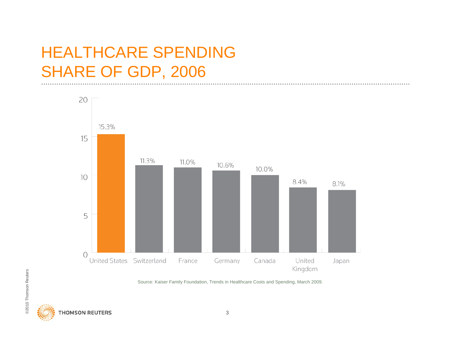#### HEALTHCARE SPENDING SHARE OF GDP, 2006



Source: Kaiser Family Foundation, Trends in Healthcare Costs and Spending, March 2009.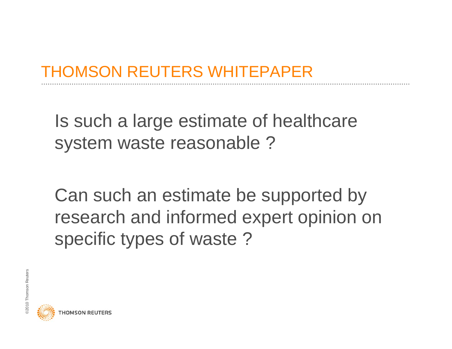#### THOMSON REUTERS WHITEPAPER

Is such a large estimate of healthcare system waste reasonable ?

Can such an estimate be supported by research and informed expert opinion on specific types of waste ?

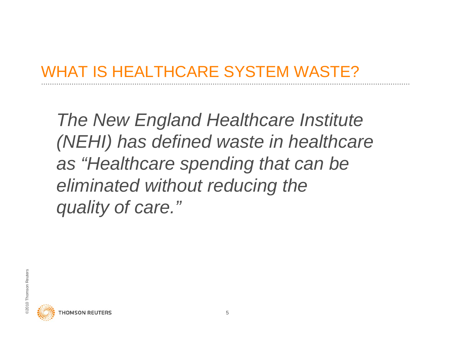#### WHAT IS HEALTHCARE SYSTEM WASTE?

 *The New England Healthcare Institute (NEHI) has defined waste in healthcare as "Healthcare spending that can be eliminated without reducing the quality of care."*



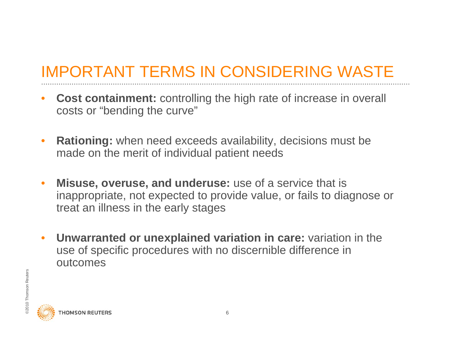### IMPORTANT TERMS IN CONSIDERING WASTE

- • **Cost containment:** controlling the high rate of increase in overall costs or "bending the curve"
- • **Rationing:** when need exceeds availability, decisions must be made on the merit of individual patient needs
- $\bullet$  **Misuse, overuse, and underuse:** use of a service that is inappropriate, not expected to provide value, or fails to diagnose or treat an illness in the early stages
- $\bullet$  **Unwarranted or unexplained variation in care:** variation in the use of specific procedures with no discernible difference in outcomes

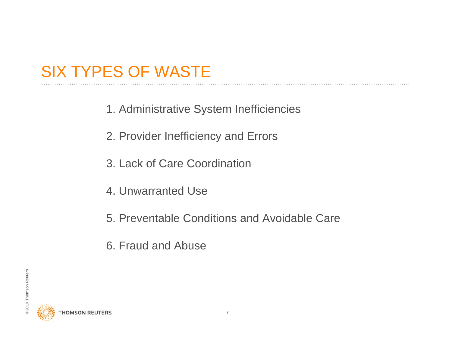#### SIX TYPES OF WASTE

- 1. Administrative System Inefficiencies
- 2. Provider Inefficiency and Errors
- 3. Lack of Care Coordination
- 4. Unwarranted Use
- 5. Preventable Conditions and Avoidable Care
- 6. Fraud and Abuse

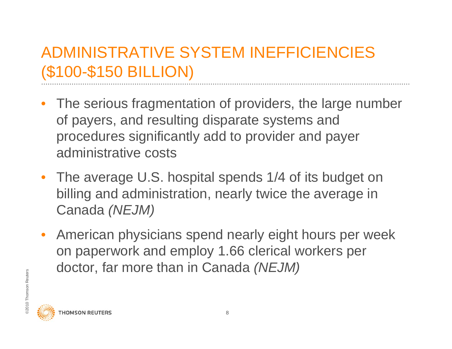#### ADMINISTRATIVE SYSTEM INEFFICIENCIES(\$100-\$150 BILLION)

- $\bullet$  The serious fragmentation of providers, the large number of payers, and resulting disparate systems and procedures significantly add to provider and payer administrative costs
- The average U.S. hospital spends 1/4 of its budget on billing and administration, nearly twice the average in Canada *(NEJM)*
- $\frac{1}{20}$  CIOCLOT, TCT THOTO LITCH ITTOCATE • American physicians spend nearly eight hours per week on paperwork and employ 1.66 clerical workers per doctor, far more than in Canada *(NEJM)*

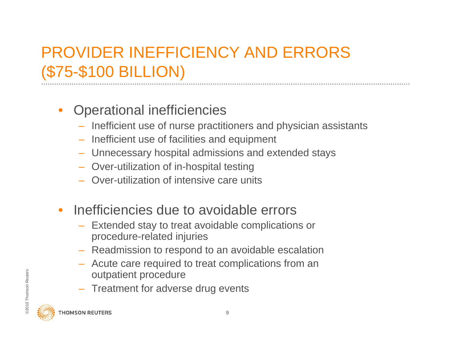# PROVIDER INEFFICIENCY AND ERRORS (\$75-\$100 BILLION)

#### •Operational inefficiencies

- Inefficient use of nurse practitioners and physician assistants
- Inefficient use of facilities and equipment
- Unnecessary hospital admissions and extended stays
- Over-utilization of in-hospital testing
- Over-utilization of intensive care units
- $\bullet$  Inefficiencies due to avoidable errors
	- Extended stay to treat avoidable complications or procedure-related injuries
	- Readmission to respond to an avoidable escalation
	- – Acute care required to treat complications from an outpatient procedure
- Example 1 and the contract of the contract of the contract of the contract of the contract of the contract of the contract of the contract of the contract of the contract of the contract of the contract of the contract of – Treatment for adverse drug events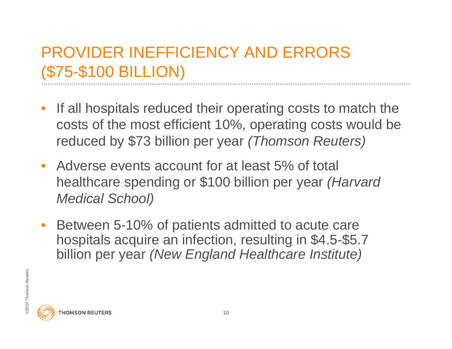#### PROVIDER INEFFICIENCY AND ERRORS (\$75-\$100 BILLION)

- • If all hospitals reduced their operating costs to match the costs of the most efficient 10%, operating costs would be reduced by \$73 billion per year *(Thomson Reuters)*
- Adverse events account for at least 5% of total healthcare spending or \$100 billion per year *(Harvard Medical School)*
- • Between 5-10% of patients admitted to acute care hospitals acquire an infection, resulting in \$4.5-\$5.7 billion per year *(New England Healthcare Institute)*



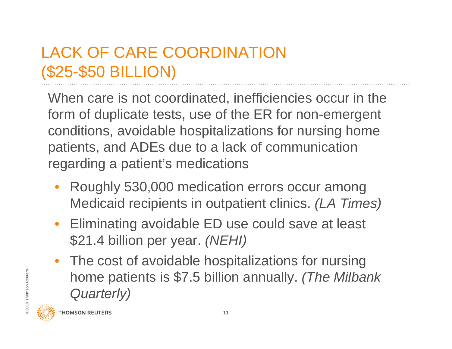## LACK OF CARE COORDINATION (\$25-\$50 BILLION)

When care is not coordinated, inefficiencies occur in the form of duplicate tests, use of the ER for non-emergent conditions, avoidable hospitalizations for nursing home patients, and ADEs due to a lack of communication regarding a patient's medications

- • Roughly 530,000 medication errors occur among Medicaid recipients in outpatient clinics. *(LA Times)*
- Eliminating avoidable ED use could save at least \$21.4 billion per year. *(NEHI)*
- Event to me patients is \$7.5 billion annually. *(The Milbank Quarterly)*<br>*Quarterly)*<br> **Exercise** Thomson Reuters • The cost of avoidable hospitalizations for nursing *Quarterly)*

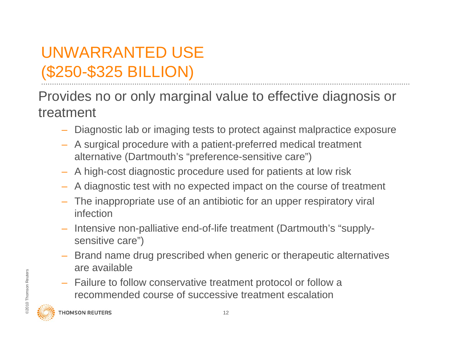# UNWARRANTED USE (\$250-\$325 BILLION)

Provides no or only marginal value to effective diagnosis or treatment

- Diagnostic lab or imaging tests to protect against malpractice exposure
- A surgical procedure with a patient-preferred medical treatment alternative (Dartmouth's "preference-sensitive care")
- A high-cost diagnostic procedure used for patients at low risk
- A diagnostic test with no expected impact on the course of treatment
- The inappropriate use of an antibiotic for an upper respiratory viral infection
- Intensive non-palliative end-of-life treatment (Dartmouth's "supplysensitive care")
- Brand name drug prescribed when generic or therapeutic alternatives are available
- $\frac{200}{200}$  Failure to follow conservative treature in the method course of successive  $\frac{200}{200}$  Thomson REUTERS – Failure to follow conservative treatment protocol or follow a recommended course of successive treatment escalation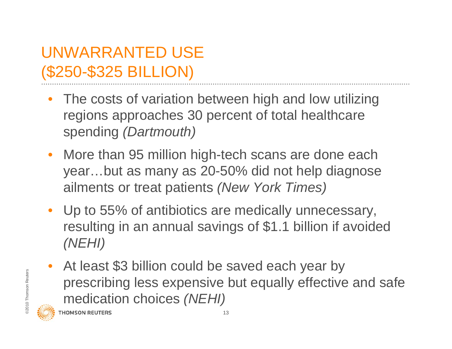#### UNWARRANTED USE (\$250-\$325 BILLION)

- • The costs of variation between high and low utilizing regions approaches 30 percent of total healthcare spending *(Dartmouth)*
- More than 95 million high-tech scans are done each year…but as many as 20-50% did not help diagnose ailments or treat patients *(New York Times)*
- Up to 55% of antibiotics are medically unnecessary, resulting in an annual savings of \$1.1 billion if avoided *(NEHI)*
- $\frac{1}{2}$  prescribing less expensive<br>medication choices (NEHI) • At least \$3 billion could be saved each year by prescribing less expensive but equally effective and safe medication choices *(NEHI)*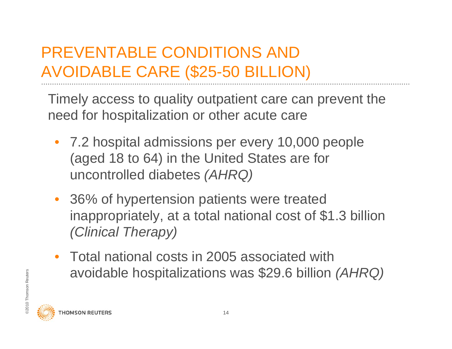### PREVENTABLE CONDITIONS AND AVOIDABLE CARE (\$25-50 BILLION)

Timely access to quality outpatient care can prevent the need for hospitalization or other acute care

- 7.2 hospital admissions per every 10,000 people (aged 18 to 64) in the United States are for uncontrolled diabetes *(AHRQ)*
- 36% of hypertension patients were treated inappropriately, at a total national cost of \$1.3 billion *(Clinical Therapy)*
- END Avoidable hospitalizations was \$29.6 billion *(AHRQ)*<br>ENDING ARRA<br>Representations on reuters • Total national costs in 2005 associated with

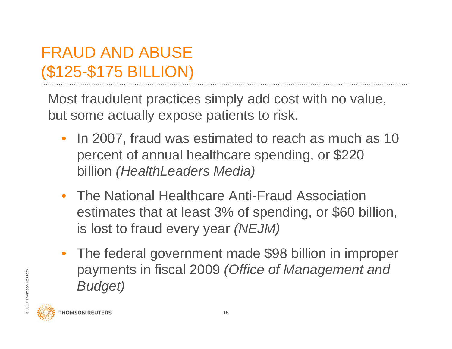### FRAUD AND ABUSE (\$125-\$175 BILLION)

Most fraudulent practices simply add cost with no value, but some actually expose patients to risk.

- $\bullet$  In 2007, fraud was estimated to reach as much as 10 percent of annual healthcare spending, or \$220 billion *(HealthLeaders Media)*
- The National Healthcare Anti-Fraud Association estimates that at least 3% of spending, or \$60 billion, is lost to fraud every year *(NEJM)*
- $\frac{1}{2}$  Payments III IISCal 2009 (<br> $\frac{1}{2}$  Budget) • The federal government made \$98 billion in improper payments in fiscal 2009 *(Office of Management and Budget)*

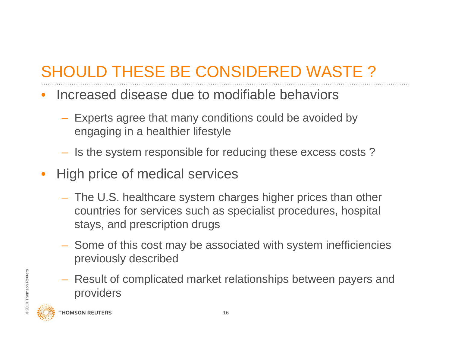# SHOULD THESE BE CONSIDERED WASTE ?

- • Increased disease due to modifiable behaviors
	- Experts agree that many conditions could be avoided by engaging in a healthier lifestyle
	- $-$  Is the system responsible for reducing these excess costs ?
- • High price of medical services
	- The U.S. healthcare system charges higher prices than other countries for services such as specialist procedures, hospital stays, and prescription drugs
	- Some of this cost may be associated with system inefficiencies previously described
- $\frac{20}{20}$   $\frac{20}{20}$   $\frac{20}{20}$  Thomson Reuters 16 Result of complicated market relationships between payers and providers

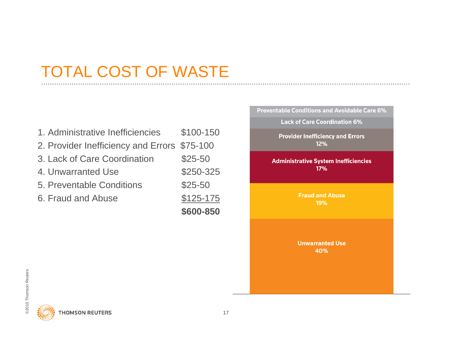#### TOTAL COST OF WASTE

|                                              | \$600-850  |
|----------------------------------------------|------------|
| 6. Fraud and Abuse                           | $$125-175$ |
| 5. Preventable Conditions                    | $$25-50$   |
| 4. Unwarranted Use                           | \$250-325  |
| 3. Lack of Care Coordination                 | $$25-50$   |
| 2. Provider Inefficiency and Errors \$75-100 |            |
| 1. Administrative Inefficiencies             | \$100-150  |



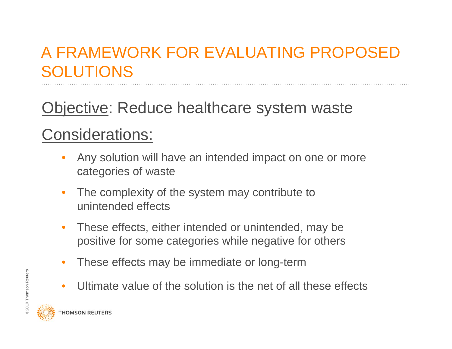#### A FRAMEWORK FOR EVALUATING PROPOSED SOLUTIONS

Objective: Reduce healthcare system waste

#### Considerations:

- • Any solution will have an intended impact on one or more categories of waste
- • The complexity of the system may contribute to unintended effects
- $\bullet$  These effects, either intended or unintended, may be positive for some categories while negative for others
- •These effects may be immediate or long-term
- $\bullet$ Ultimate value of the solution is the net of all these effects

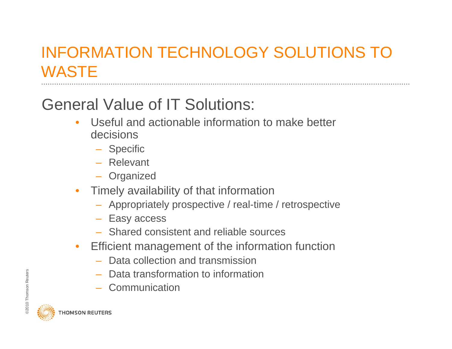### INFORMATION TECHNOLOGY SOLUTIONS TO **WASTE**

# General Value of IT Solutions:

- • Useful and actionable information to make better decisions
	- Specific
	- Relevant
	- Organized
- • Timely availability of that information
	- Appropriately prospective / real-time / retrospective
	- Easy access
	- Shared consistent and reliable sources
- $\bullet$  Efficient management of the information function
	- Data collection and transmission
	- Data transformation to information
	- Communication

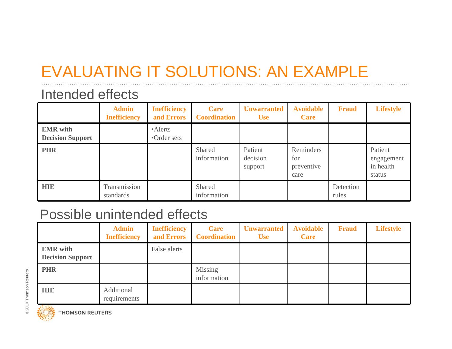# EVALUATING IT SOLUTIONS: AN EXAMPLE

#### Intended effects

|                                            | <b>Admin</b><br><b>Inefficiency</b> | <b>Inefficiency</b><br>and Errors | Care<br><b>Coordination</b> | <b>Unwarranted</b><br><b>Use</b> | <b>Avoidable</b><br>Care               | <b>Fraud</b>       | <b>Lifestyle</b>                             |
|--------------------------------------------|-------------------------------------|-----------------------------------|-----------------------------|----------------------------------|----------------------------------------|--------------------|----------------------------------------------|
| <b>EMR</b> with<br><b>Decision Support</b> |                                     | •Alerts<br>•Order sets            |                             |                                  |                                        |                    |                                              |
| <b>PHR</b>                                 |                                     |                                   | Shared<br>information       | Patient<br>decision<br>support   | Reminders<br>for<br>preventive<br>care |                    | Patient<br>engagement<br>in health<br>status |
| <b>HIE</b>                                 | Transmission<br>standards           |                                   | Shared<br>information       |                                  |                                        | Detection<br>rules |                                              |

#### Possible unintended effects

|                                            | <b>Admin</b><br><b>Inefficiency</b> | <b>Inefficiency</b><br>and Errors | Care<br><b>Coordination</b> | <b>Unwarranted</b><br><b>Use</b> | <b>Avoidable</b><br>Care | <b>Fraud</b> | <b>Lifestyle</b> |
|--------------------------------------------|-------------------------------------|-----------------------------------|-----------------------------|----------------------------------|--------------------------|--------------|------------------|
| <b>EMR</b> with<br><b>Decision Support</b> |                                     | False alerts                      |                             |                                  |                          |              |                  |
| <b>PHR</b>                                 |                                     |                                   | Missing<br>information      |                                  |                          |              |                  |
| <b>HIE</b>                                 | Additional<br>requirements          |                                   |                             |                                  |                          |              |                  |